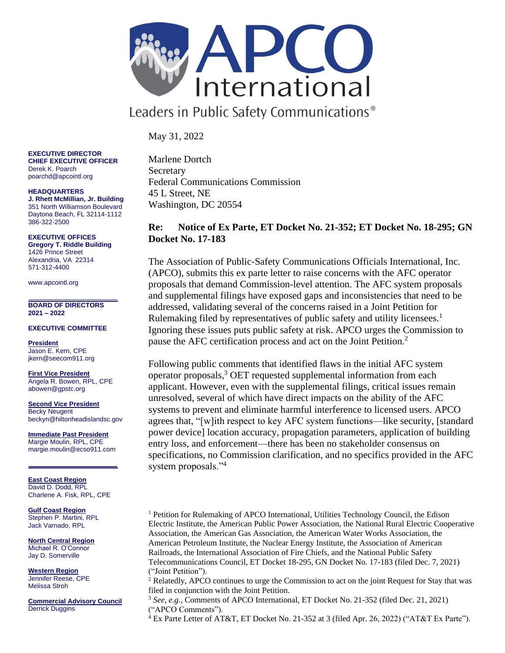

Leaders in Public Safety Communications<sup>®</sup>

May 31, 2022

**EXECUTIVE DIRECTOR CHIEF EXECUTIVE OFFICER** Derek K. Poarch poarchd@apcointl.org

**HEADQUARTERS J. Rhett McMillian, Jr. Building** 351 North Williamson Boulevard Daytona Beach, FL 32114-1112 386-322-2500

**EXECUTIVE OFFICES Gregory T. Riddle Building** 1426 Prince Street Alexandria, VA 22314 571-312-4400

www.apcointl.org

**BOARD OF DIRECTORS 2021 – 2022** 

## **EXECUTIVE COMMITTEE**

**President** Jason E. Kern, CPE jkern@seecom911.org

**First Vice President** Angela R. Bowen, RPL, CPE abowen@gpstc.org

**Second Vice President** Becky Neugent beckyn@hiltonheadislandsc.gov

**Immediate Past President** Margie Moulin, RPL, CPE margie.moulin@ecso911.com

**East Coast Region** David D. Dodd, RPL Charlene A. Fisk, RPL, CPE

**Gulf Coast Region** Stephen P. Martini, RPL Jack Varnado, RPL

**North Central Region**  Michael R. O'Connor Jay D. Somerville

**Western Region** Jennifer Reese, CPE Melissa Stroh

**Commercial Advisory Council** Derrick Duggins

Marlene Dortch **Secretary** Federal Communications Commission 45 L Street, NE Washington, DC 20554

## **Re: Notice of Ex Parte, ET Docket No. 21-352; ET Docket No. 18-295; GN Docket No. 17-183**

The Association of Public-Safety Communications Officials International, Inc. (APCO), submits this ex parte letter to raise concerns with the AFC operator proposals that demand Commission-level attention. The AFC system proposals and supplemental filings have exposed gaps and inconsistencies that need to be addressed, validating several of the concerns raised in a Joint Petition for Rulemaking filed by representatives of public safety and utility licensees.<sup>1</sup> Ignoring these issues puts public safety at risk. APCO urges the Commission to pause the AFC certification process and act on the Joint Petition.<sup>2</sup>

Following public comments that identified flaws in the initial AFC system operator proposals,<sup>3</sup> OET requested supplemental information from each applicant. However, even with the supplemental filings, critical issues remain unresolved, several of which have direct impacts on the ability of the AFC systems to prevent and eliminate harmful interference to licensed users. APCO agrees that, "[w]ith respect to key AFC system functions—like security, [standard power device] location accuracy, propagation parameters, application of building entry loss, and enforcement—there has been no stakeholder consensus on specifications, no Commission clarification, and no specifics provided in the AFC system proposals."<sup>4</sup>

<sup>1</sup> Petition for Rulemaking of APCO International, Utilities Technology Council, the Edison Electric Institute, the American Public Power Association, the National Rural Electric Cooperative Association, the American Gas Association, the American Water Works Association, the American Petroleum Institute, the Nuclear Energy Institute, the Association of American Railroads, the International Association of Fire Chiefs, and the National Public Safety Telecommunications Council, ET Docket 18-295, GN Docket No. 17-183 (filed Dec. 7, 2021) ("Joint Petition").

 $2^{2}$  Relatedly, APCO continues to urge the Commission to act on the joint Request for Stay that was filed in conjunction with the Joint Petition.

<sup>3</sup> *See, e.g.,* Comments of APCO International, ET Docket No. 21-352 (filed Dec. 21, 2021) ("APCO Comments").

<sup>4</sup> Ex Parte Letter of AT&T, ET Docket No. 21-352 at 3 (filed Apr. 26, 2022) ("AT&T Ex Parte").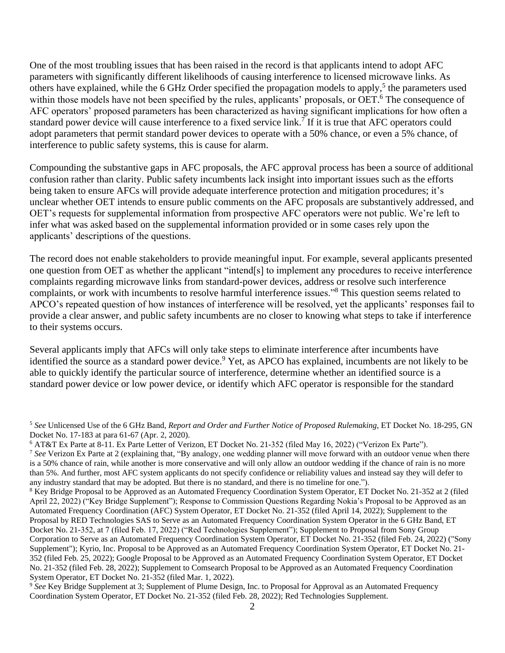One of the most troubling issues that has been raised in the record is that applicants intend to adopt AFC parameters with significantly different likelihoods of causing interference to licensed microwave links. As others have explained, while the 6 GHz Order specified the propagation models to apply,<sup>5</sup> the parameters used within those models have not been specified by the rules, applicants' proposals, or OET.<sup>6</sup> The consequence of AFC operators' proposed parameters has been characterized as having significant implications for how often a standard power device will cause interference to a fixed service link.<sup>7</sup> If it is true that AFC operators could adopt parameters that permit standard power devices to operate with a 50% chance, or even a 5% chance, of interference to public safety systems, this is cause for alarm.

Compounding the substantive gaps in AFC proposals, the AFC approval process has been a source of additional confusion rather than clarity. Public safety incumbents lack insight into important issues such as the efforts being taken to ensure AFCs will provide adequate interference protection and mitigation procedures; it's unclear whether OET intends to ensure public comments on the AFC proposals are substantively addressed, and OET's requests for supplemental information from prospective AFC operators were not public. We're left to infer what was asked based on the supplemental information provided or in some cases rely upon the applicants' descriptions of the questions.

The record does not enable stakeholders to provide meaningful input. For example, several applicants presented one question from OET as whether the applicant "intend[s] to implement any procedures to receive interference complaints regarding microwave links from standard-power devices, address or resolve such interference complaints, or work with incumbents to resolve harmful interference issues."<sup>8</sup> This question seems related to APCO's repeated question of how instances of interference will be resolved, yet the applicants' responses fail to provide a clear answer, and public safety incumbents are no closer to knowing what steps to take if interference to their systems occurs.

Several applicants imply that AFCs will only take steps to eliminate interference after incumbents have identified the source as a standard power device.<sup>9</sup> Yet, as APCO has explained, incumbents are not likely to be able to quickly identify the particular source of interference, determine whether an identified source is a standard power device or low power device, or identify which AFC operator is responsible for the standard

<sup>5</sup> *See* Unlicensed Use of the 6 GHz Band, *Report and Order and Further Notice of Proposed Rulemaking*, ET Docket No. 18-295, GN Docket No. 17-183 at para 61-67 (Apr. 2, 2020).

<sup>6</sup> AT&T Ex Parte at 8-11. Ex Parte Letter of Verizon, ET Docket No. 21-352 (filed May 16, 2022) ("Verizon Ex Parte").

<sup>&</sup>lt;sup>7</sup> See Verizon Ex Parte at 2 (explaining that, "By analogy, one wedding planner will move forward with an outdoor venue when there is a 50% chance of rain, while another is more conservative and will only allow an outdoor wedding if the chance of rain is no more than 5%. And further, most AFC system applicants do not specify confidence or reliability values and instead say they will defer to any industry standard that may be adopted. But there is no standard, and there is no timeline for one.").

<sup>8</sup> Key Bridge Proposal to be Approved as an Automated Frequency Coordination System Operator, ET Docket No. 21-352 at 2 (filed April 22, 2022) ("Key Bridge Supplement"); Response to Commission Questions Regarding Nokia's Proposal to be Approved as an Automated Frequency Coordination (AFC) System Operator, ET Docket No. 21-352 (filed April 14, 2022); Supplement to the Proposal by RED Technologies SAS to Serve as an Automated Frequency Coordination System Operator in the 6 GHz Band, ET Docket No. 21-352, at 7 (filed Feb. 17, 2022) ("Red Technologies Supplement"); Supplement to Proposal from Sony Group Corporation to Serve as an Automated Frequency Coordination System Operator, ET Docket No. 21-352 (filed Feb. 24, 2022) ("Sony Supplement"); Kyrio, Inc. Proposal to be Approved as an Automated Frequency Coordination System Operator, ET Docket No. 21- 352 (filed Feb. 25, 2022); Google Proposal to be Approved as an Automated Frequency Coordination System Operator, ET Docket No. 21-352 (filed Feb. 28, 2022); Supplement to Comsearch Proposal to be Approved as an Automated Frequency Coordination System Operator, ET Docket No. 21-352 (filed Mar. 1, 2022).

<sup>9</sup> *See* Key Bridge Supplement at 3; Supplement of Plume Design, Inc. to Proposal for Approval as an Automated Frequency Coordination System Operator, ET Docket No. 21-352 (filed Feb. 28, 2022); Red Technologies Supplement.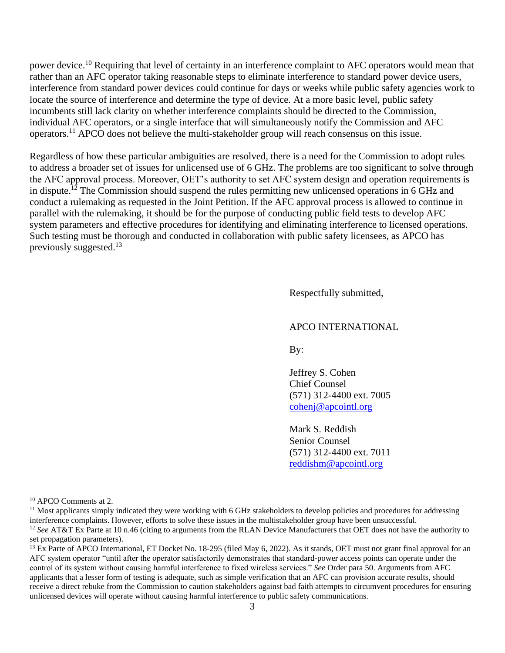power device.<sup>10</sup> Requiring that level of certainty in an interference complaint to AFC operators would mean that rather than an AFC operator taking reasonable steps to eliminate interference to standard power device users, interference from standard power devices could continue for days or weeks while public safety agencies work to locate the source of interference and determine the type of device. At a more basic level, public safety incumbents still lack clarity on whether interference complaints should be directed to the Commission, individual AFC operators, or a single interface that will simultaneously notify the Commission and AFC operators.<sup>11</sup> APCO does not believe the multi-stakeholder group will reach consensus on this issue.

Regardless of how these particular ambiguities are resolved, there is a need for the Commission to adopt rules to address a broader set of issues for unlicensed use of 6 GHz. The problems are too significant to solve through the AFC approval process. Moreover, OET's authority to set AFC system design and operation requirements is in dispute.<sup>12</sup> The Commission should suspend the rules permitting new unlicensed operations in 6 GHz and conduct a rulemaking as requested in the Joint Petition. If the AFC approval process is allowed to continue in parallel with the rulemaking, it should be for the purpose of conducting public field tests to develop AFC system parameters and effective procedures for identifying and eliminating interference to licensed operations. Such testing must be thorough and conducted in collaboration with public safety licensees, as APCO has previously suggested.<sup>13</sup>

Respectfully submitted,

## APCO INTERNATIONAL

By:

Jeffrey S. Cohen Chief Counsel (571) 312-4400 ext. 7005 [cohenj@apcointl.org](mailto:cohenj@apcointl.org)

Mark S. Reddish Senior Counsel (571) 312-4400 ext. 7011 [reddishm@apcointl.org](mailto:reddishm@apcointl.org)

<sup>10</sup> APCO Comments at 2.

 $<sup>11</sup>$  Most applicants simply indicated they were working with 6 GHz stakeholders to develop policies and procedures for addressing</sup> interference complaints. However, efforts to solve these issues in the multistakeholder group have been unsuccessful. <sup>12</sup> See AT&T Ex Parte at 10 n.46 (citing to arguments from the RLAN Device Manufacturers that OET does not have the authority to set propagation parameters).

<sup>13</sup> Ex Parte of APCO International, ET Docket No. 18-295 (filed May 6, 2022). As it stands, OET must not grant final approval for an AFC system operator "until after the operator satisfactorily demonstrates that standard-power access points can operate under the control of its system without causing harmful interference to fixed wireless services." *See* Order para 50. Arguments from AFC applicants that a lesser form of testing is adequate, such as simple verification that an AFC can provision accurate results, should receive a direct rebuke from the Commission to caution stakeholders against bad faith attempts to circumvent procedures for ensuring unlicensed devices will operate without causing harmful interference to public safety communications.